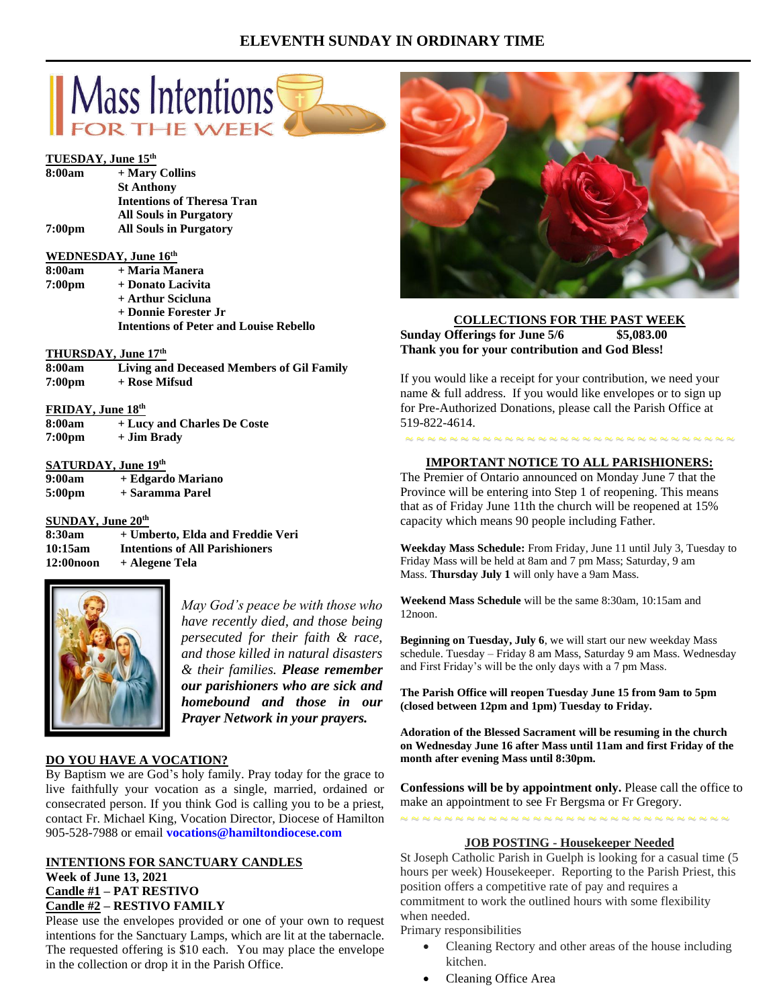# **ELEVENTH SUNDAY IN ORDINARY TIME**



### **WEDNESDAY, June 16th**

| 8:00am | + Maria Manera                                |
|--------|-----------------------------------------------|
| 7:00pm | + Donato Lacivita                             |
|        | + Arthur Scicluna                             |
|        | + Donnie Forester Jr                          |
|        | <b>Intentions of Peter and Louise Rebello</b> |

### **THURSDAY, June 17 th**

| 8:00am             | Living and Deceased Members of Gil Family |
|--------------------|-------------------------------------------|
| 7:00 <sub>pm</sub> | + Rose Mifsud                             |

### **FRIDAY, June 18th**

| 8:00am             | + Lucy and Charles De Coste |
|--------------------|-----------------------------|
| 7:00 <sub>pm</sub> | + Jim Brady                 |

# **SATURDAY, June 19th**

| 9:00am             | + Edgardo Mariano |
|--------------------|-------------------|
| 5:00 <sub>pm</sub> | + Saramma Parel   |

# **SUNDAY, June 20th**

**8:30am + Umberto, Elda and Freddie Veri 10:15am Intentions of All Parishioners 12:00noon + Alegene Tela**



*May God's peace be with those who have recently died, and those being persecuted for their faith & race, and those killed in natural disasters & their families. Please remember our parishioners who are sick and homebound and those in our Prayer Network in your prayers.*

# **DO YOU HAVE A VOCATION?**

By Baptism we are God's holy family. Pray today for the grace to live faithfully your vocation as a single, married, ordained or consecrated person. If you think God is calling you to be a priest, contact Fr. Michael King, Vocation Director, Diocese of Hamilton 905-528-7988 or email **vocations@hamiltondiocese.com** 

#### **INTENTIONS FOR SANCTUARY CANDLES Week of June 13, 2021 Candle #1 – PAT RESTIVO Candle #2 – RESTIVO FAMILY**

Please use the envelopes provided or one of your own to request intentions for the Sanctuary Lamps, which are lit at the tabernacle. The requested offering is \$10 each. You may place the envelope in the collection or drop it in the Parish Office.



#### **COLLECTIONS FOR THE PAST WEEK Sunday Offerings for June 5/6 \$5,083.00 Thank you for your contribution and God Bless!**

If you would like a receipt for your contribution, we need your name & full address. If you would like envelopes or to sign up for Pre-Authorized Donations, please call the Parish Office at 519-822-4614.

# **IMPORTANT NOTICE TO ALL PARISHIONERS:**

~ ~ ~ ~ ~ ~ ~ ~ ~ ~ ~ ~ ~ ~ ~ ~ ~ ~ ~ ~ ~ ~ ~ ~ ~ ~ ~ ~ ~ ~

The Premier of Ontario announced on Monday June 7 that the Province will be entering into Step 1 of reopening. This means that as of Friday June 11th the church will be reopened at 15% capacity which means 90 people including Father.

**Weekday Mass Schedule:** From Friday, June 11 until July 3, Tuesday to Friday Mass will be held at 8am and 7 pm Mass; Saturday, 9 am Mass. **Thursday July 1** will only have a 9am Mass.

**Weekend Mass Schedule** will be the same 8:30am, 10:15am and 12noon.

**Beginning on Tuesday, July 6**, we will start our new weekday Mass schedule. Tuesday – Friday 8 am Mass, Saturday 9 am Mass. Wednesday and First Friday's will be the only days with a 7 pm Mass.

**The Parish Office will reopen Tuesday June 15 from 9am to 5pm (closed between 12pm and 1pm) Tuesday to Friday.**

**Adoration of the Blessed Sacrament will be resuming in the church on Wednesday June 16 after Mass until 11am and first Friday of the month after evening Mass until 8:30pm.**

**Confessions will be by appointment only.** Please call the office to make an appointment to see Fr Bergsma or Fr Gregory.

~ ~ ~ ~ ~ ~ ~ ~ ~ ~ ~ ~ ~ ~ ~ ~ ~ ~ ~ ~ ~ ~ ~ ~ ~ ~ ~ ~ ~ ~ **JOB POSTING - Housekeeper Needed**

St Joseph Catholic Parish in Guelph is looking for a casual time (5 hours per week) Housekeeper. Reporting to the Parish Priest, this position offers a competitive rate of pay and requires a commitment to work the outlined hours with some flexibility when needed.

Primary responsibilities

- Cleaning Rectory and other areas of the house including kitchen.
- Cleaning Office Area